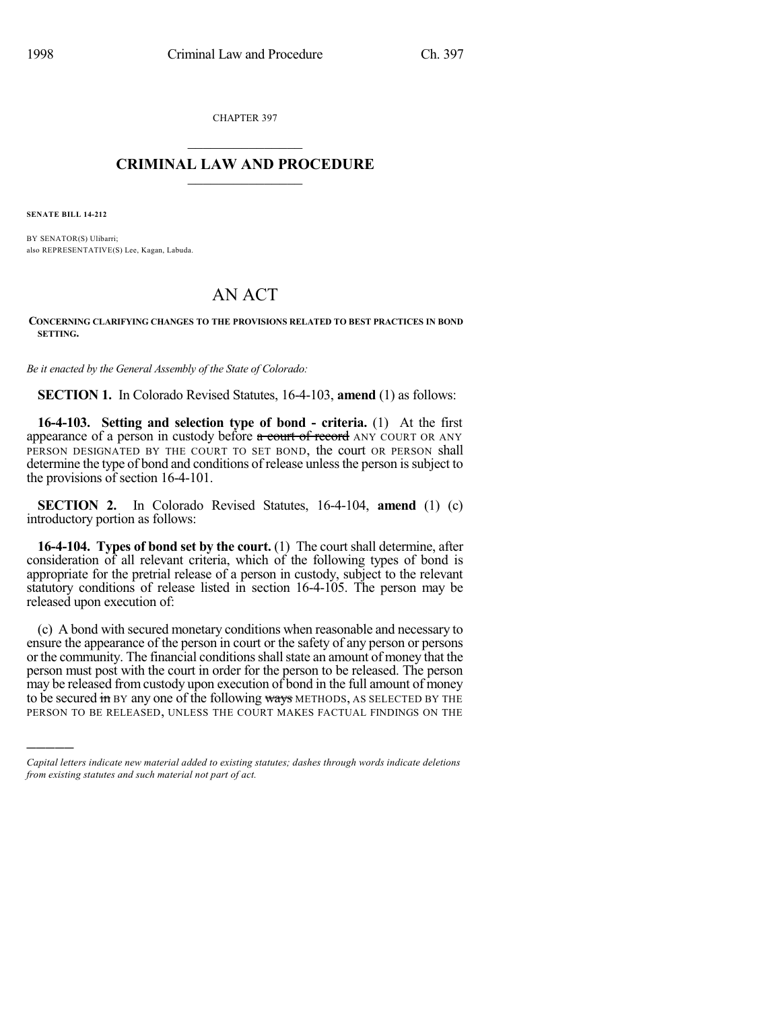CHAPTER 397  $\mathcal{L}_\text{max}$  . The set of the set of the set of the set of the set of the set of the set of the set of the set of the set of the set of the set of the set of the set of the set of the set of the set of the set of the set

## **CRIMINAL LAW AND PROCEDURE**  $\frac{1}{2}$  ,  $\frac{1}{2}$  ,  $\frac{1}{2}$  ,  $\frac{1}{2}$  ,  $\frac{1}{2}$  ,  $\frac{1}{2}$  ,  $\frac{1}{2}$

**SENATE BILL 14-212**

)))))

BY SENATOR(S) Ulibarri; also REPRESENTATIVE(S) Lee, Kagan, Labuda.

## AN ACT

**CONCERNING CLARIFYING CHANGES TO THE PROVISIONS RELATED TO BEST PRACTICES IN BOND SETTING.**

*Be it enacted by the General Assembly of the State of Colorado:*

**SECTION 1.** In Colorado Revised Statutes, 16-4-103, **amend** (1) as follows:

**16-4-103. Setting and selection type of bond - criteria.** (1) At the first appearance of a person in custody before a court of record ANY COURT OR ANY PERSON DESIGNATED BY THE COURT TO SET BOND, the court OR PERSON shall determine the type of bond and conditions of release unless the person is subject to the provisions of section 16-4-101.

**SECTION 2.** In Colorado Revised Statutes, 16-4-104, **amend** (1) (c) introductory portion as follows:

**16-4-104. Types of bond set by the court.** (1) The court shall determine, after consideration of all relevant criteria, which of the following types of bond is appropriate for the pretrial release of a person in custody, subject to the relevant statutory conditions of release listed in section 16-4-105. The person may be released upon execution of:

(c) A bond with secured monetary conditions when reasonable and necessary to ensure the appearance of the person in court or the safety of any person or persons or the community. The financial conditions shall state an amount of money that the person must post with the court in order for the person to be released. The person may be released from custody upon execution of bond in the full amount of money to be secured  $\frac{1}{2}$  in BY any one of the following ways METHODS, AS SELECTED BY THE PERSON TO BE RELEASED, UNLESS THE COURT MAKES FACTUAL FINDINGS ON THE

*Capital letters indicate new material added to existing statutes; dashes through words indicate deletions from existing statutes and such material not part of act.*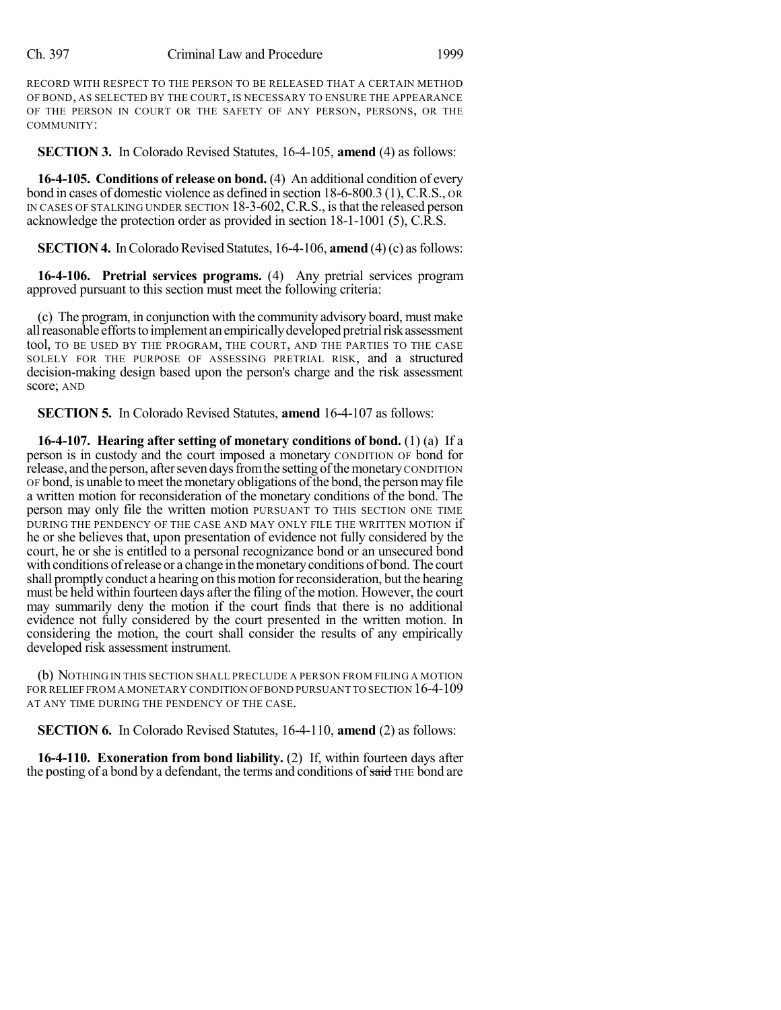RECORD WITH RESPECT TO THE PERSON TO BE RELEASED THAT A CERTAIN METHOD OF BOND, AS SELECTED BY THE COURT, IS NECESSARY TO ENSURE THE APPEARANCE OF THE PERSON IN COURT OR THE SAFETY OF ANY PERSON, PERSONS, OR THE COMMUNITY:

**SECTION 3.** In Colorado Revised Statutes, 16-4-105, **amend** (4) as follows:

**16-4-105. Conditions of release on bond.** (4) An additional condition of every bond in cases of domestic violence as defined in section 18-6-800.3 (1), C.R.S., OR IN CASES OF STALKING UNDER SECTION 18-3-602,C.R.S., isthat the released person acknowledge the protection order as provided in section 18-1-1001 (5), C.R.S.

**SECTION 4.** In Colorado Revised Statutes, 16-4-106, **amend** (4)(c) as follows:

**16-4-106. Pretrial services programs.** (4) Any pretrial services program approved pursuant to this section must meet the following criteria:

(c) The program, in conjunction with the community advisory board, must make all reasonable efforts to implement an empirically developed pretrial risk assessment tool, TO BE USED BY THE PROGRAM, THE COURT, AND THE PARTIES TO THE CASE SOLELY FOR THE PURPOSE OF ASSESSING PRETRIAL RISK, and a structured decision-making design based upon the person's charge and the risk assessment score; AND

**SECTION 5.** In Colorado Revised Statutes, **amend** 16-4-107 as follows:

**16-4-107. Hearing after setting of monetary conditions of bond.** (1) (a) If a person is in custody and the court imposed a monetary CONDITION OF bond for release, and the person, after seven days from the setting of the monetary CONDITION OF bond, is unable to meet the monetary obligations of the bond, the person may file a written motion for reconsideration of the monetary conditions of the bond. The person may only file the written motion PURSUANT TO THIS SECTION ONE TIME DURING THE PENDENCY OF THE CASE AND MAY ONLY FILE THE WRITTEN MOTION if he or she believes that, upon presentation of evidence not fully considered by the court, he or she is entitled to a personal recognizance bond or an unsecured bond with conditions of release or a change in the monetary conditions of bond. The court shall promptly conduct a hearing on this motion for reconsideration, but the hearing must be held within fourteen days after the filing of the motion. However, the court may summarily deny the motion if the court finds that there is no additional evidence not fully considered by the court presented in the written motion. In considering the motion, the court shall consider the results of any empirically developed risk assessment instrument.

(b) NOTHING IN THIS SECTION SHALL PRECLUDE A PERSON FROM FILING A MOTION FOR RELIEF FROM A MONETARY CONDITION OF BOND PURSUANT TO SECTION  $16-4-109$ AT ANY TIME DURING THE PENDENCY OF THE CASE.

**SECTION 6.** In Colorado Revised Statutes, 16-4-110, **amend** (2) as follows:

**16-4-110. Exoneration from bond liability.** (2) If, within fourteen days after the posting of a bond by a defendant, the terms and conditions of said THE bond are